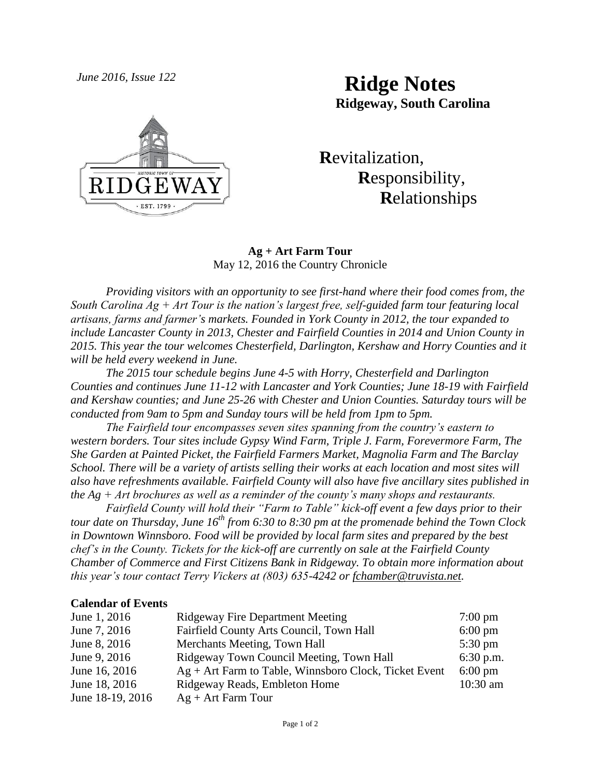*June 2016, Issue 122* **Ridge Notes Ridgeway, South Carolina**



# **R**evitalization,  **R**esponsibility,  **R**elationships

### **Ag + Art Farm Tour** May 12, 2016 the Country Chronicle

*Providing visitors with an opportunity to see first-hand where their food comes from, the South Carolina Ag + Art Tour is the nation's largest free, self-guided farm tour featuring local artisans, farms and farmer's markets. Founded in York County in 2012, the tour expanded to include Lancaster County in 2013, Chester and Fairfield Counties in 2014 and Union County in 2015. This year the tour welcomes Chesterfield, Darlington, Kershaw and Horry Counties and it will be held every weekend in June.*

*The 2015 tour schedule begins June 4-5 with Horry, Chesterfield and Darlington Counties and continues June 11-12 with Lancaster and York Counties; June 18-19 with Fairfield and Kershaw counties; and June 25-26 with Chester and Union Counties. Saturday tours will be conducted from 9am to 5pm and Sunday tours will be held from 1pm to 5pm.*

*The Fairfield tour encompasses seven sites spanning from the country's eastern to western borders. Tour sites include Gypsy Wind Farm, Triple J. Farm, Forevermore Farm, The She Garden at Painted Picket, the Fairfield Farmers Market, Magnolia Farm and The Barclay School. There will be a variety of artists selling their works at each location and most sites will also have refreshments available. Fairfield County will also have five ancillary sites published in the Ag + Art brochures as well as a reminder of the county's many shops and restaurants.*

*Fairfield County will hold their "Farm to Table" kick-off event a few days prior to their tour date on Thursday, June 16th from 6:30 to 8:30 pm at the promenade behind the Town Clock in Downtown Winnsboro. Food will be provided by local farm sites and prepared by the best chef's in the County. Tickets for the kick-off are currently on sale at the Fairfield County Chamber of Commerce and First Citizens Bank in Ridgeway. To obtain more information about this year's tour contact Terry Vickers at (803) 635-4242 or [fchamber@truvista.net.](mailto:fchamber@truvista.net)* 

#### **Calendar of Events**

| June 1, 2016     | <b>Ridgeway Fire Department Meeting</b>                 | $7:00 \text{ pm}$ |
|------------------|---------------------------------------------------------|-------------------|
| June 7, 2016     | Fairfield County Arts Council, Town Hall                | $6:00 \text{ pm}$ |
| June 8, 2016     | Merchants Meeting, Town Hall                            | $5:30 \text{ pm}$ |
| June 9, 2016     | Ridgeway Town Council Meeting, Town Hall                | $6:30$ p.m.       |
| June 16, 2016    | $Ag + Art$ Farm to Table, Winnsboro Clock, Ticket Event | $6:00 \text{ pm}$ |
| June 18, 2016    | Ridgeway Reads, Embleton Home                           | $10:30$ am        |
| June 18-19, 2016 | $Ag + Art Farm Tour$                                    |                   |